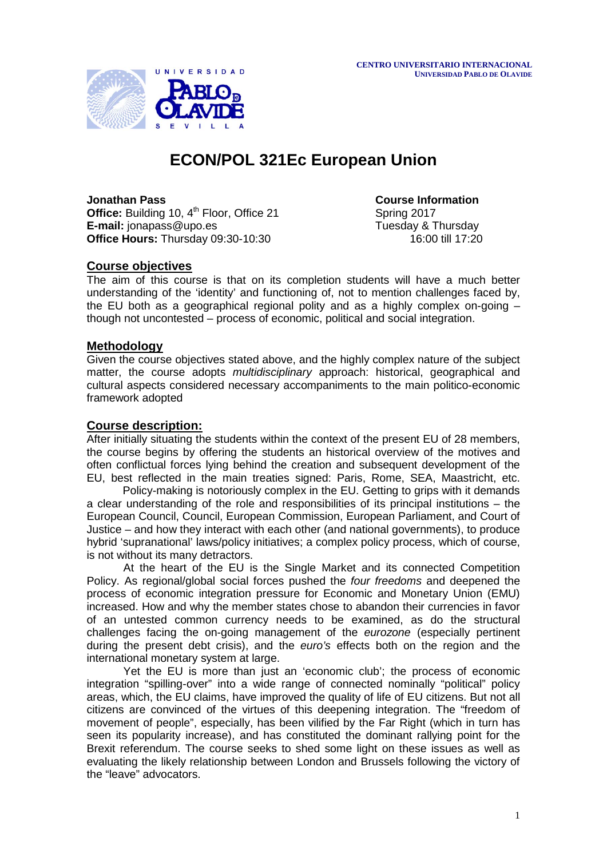

# **ECON/POL 321Ec European Union**

**Office:** Building 10, 4<sup>th</sup> Floor, Office 21 **E-mail:** [jonapass@upo.es](mailto:jonapass@upo.es) Tuesday & Thursday & Thursday **Office Hours:** Thursday 09:30-10:30 16:00 till 17:20

**Jonathan Pass**<br> **Office:** Building 10, 4<sup>th</sup> Floor, Office 21 **Course Information**<br> **Course Information** 

# **Course objectives**

The aim of this course is that on its completion students will have a much better understanding of the 'identity' and functioning of, not to mention challenges faced by, the EU both as a geographical regional polity and as a highly complex on-going – though not uncontested – process of economic, political and social integration.

# **Methodology**

Given the course objectives stated above, and the highly complex nature of the subject matter, the course adopts *multidisciplinary* approach: historical, geographical and cultural aspects considered necessary accompaniments to the main politico-economic framework adopted

# **Course description:**

After initially situating the students within the context of the present EU of 28 members, the course begins by offering the students an historical overview of the motives and often conflictual forces lying behind the creation and subsequent development of the EU, best reflected in the main treaties signed: Paris, Rome, SEA, Maastricht, etc.

Policy-making is notoriously complex in the EU. Getting to grips with it demands a clear understanding of the role and responsibilities of its principal institutions – the European Council, Council, European Commission, European Parliament, and Court of Justice – and how they interact with each other (and national governments), to produce hybrid 'supranational' laws/policy initiatives; a complex policy process, which of course, is not without its many detractors.

At the heart of the EU is the Single Market and its connected Competition Policy. As regional/global social forces pushed the *four freedoms* and deepened the process of economic integration pressure for Economic and Monetary Union (EMU) increased. How and why the member states chose to abandon their currencies in favor of an untested common currency needs to be examined, as do the structural challenges facing the on-going management of the *eurozone* (especially pertinent during the present debt crisis), and the *euro's* effects both on the region and the international monetary system at large.

Yet the EU is more than just an 'economic club'; the process of economic integration "spilling-over" into a wide range of connected nominally "political" policy areas, which, the EU claims, have improved the quality of life of EU citizens. But not all citizens are convinced of the virtues of this deepening integration. The "freedom of movement of people", especially, has been vilified by the Far Right (which in turn has seen its popularity increase), and has constituted the dominant rallying point for the Brexit referendum. The course seeks to shed some light on these issues as well as evaluating the likely relationship between London and Brussels following the victory of the "leave" advocators.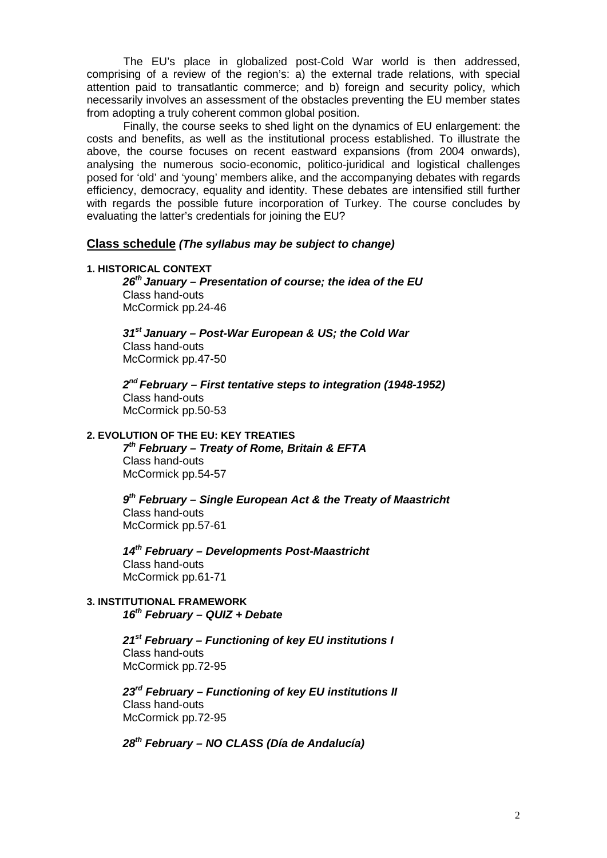The EU's place in globalized post-Cold War world is then addressed, comprising of a review of the region's: a) the external trade relations, with special attention paid to transatlantic commerce; and b) foreign and security policy, which necessarily involves an assessment of the obstacles preventing the EU member states from adopting a truly coherent common global position.

Finally, the course seeks to shed light on the dynamics of EU enlargement: the costs and benefits, as well as the institutional process established. To illustrate the above, the course focuses on recent eastward expansions (from 2004 onwards), analysing the numerous socio-economic, politico-juridical and logistical challenges posed for 'old' and 'young' members alike, and the accompanying debates with regards efficiency, democracy, equality and identity. These debates are intensified still further with regards the possible future incorporation of Turkey. The course concludes by evaluating the latter's credentials for joining the EU?

# **Class schedule** *(The syllabus may be subject to change)*

#### **1. HISTORICAL CONTEXT**

*26th January – Presentation of course; the idea of the EU* Class hand-outs McCormick pp.24-46

*31st January – Post-War European & US; the Cold War*  Class hand-outs McCormick pp.47-50

*2nd February – First tentative steps to integration (1948-1952)*  Class hand-outs McCormick pp.50-53

# **2. EVOLUTION OF THE EU: KEY TREATIES**

*7th February – Treaty of Rome, Britain & EFTA*  Class hand-outs McCormick pp.54-57

*9th February – Single European Act & the Treaty of Maastricht* Class hand-outs McCormick pp.57-61

*14th February – Developments Post-Maastricht*  Class hand-outs McCormick pp.61-71

# **3. INSTITUTIONAL FRAMEWORK**  *16th February – QUIZ + Debate*

*21st February – Functioning of key EU institutions I* Class hand-outs McCormick pp.72-95

*23rd February – Functioning of key EU institutions II* Class hand-outs McCormick pp.72-95

*28th February – NO CLASS (Día de Andalucía)*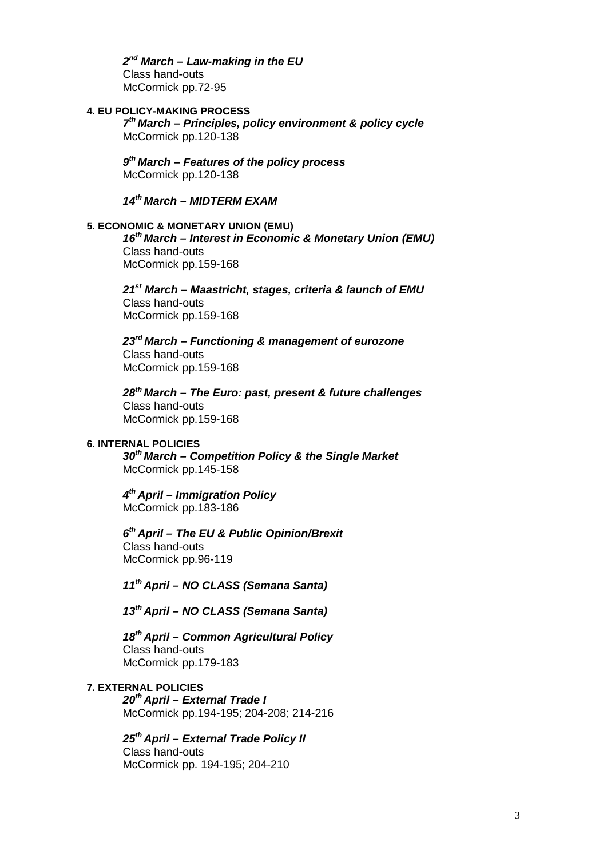*2nd March – Law-making in the EU* Class hand-outs McCormick pp.72-95

# **4. EU POLICY-MAKING PROCESS**

*7th March – Principles, policy environment & policy cycle* McCormick pp.120-138

*9th March – Features of the policy process* McCormick pp.120-138

*14th March – MIDTERM EXAM*

#### **5. ECONOMIC & MONETARY UNION (EMU)**

*16th March – Interest in Economic & Monetary Union (EMU)* Class hand-outs McCormick pp.159-168

*21st March – Maastricht, stages, criteria & launch of EMU* Class hand-outs McCormick pp.159-168

*23rd March – Functioning & management of eurozone* Class hand-outs McCormick pp.159-168

*28th March – The Euro: past, present & future challenges* Class hand-outs McCormick pp.159-168

#### **6. INTERNAL POLICIES**

*30th March – Competition Policy & the Single Market* McCormick pp.145-158

*4th April – Immigration Policy* McCormick pp.183-186

*6th April – The EU & Public Opinion/Brexit* Class hand-outs McCormick pp.96-119

*11th April – NO CLASS (Semana Santa)*

*13th April – NO CLASS (Semana Santa)*

*18th April – Common Agricultural Policy* Class hand-outs McCormick pp.179-183

# **7. EXTERNAL POLICIES**

*20th April – External Trade I* McCormick pp.194-195; 204-208; 214-216

*25th April – External Trade Policy II* Class hand-outs

McCormick pp. 194-195; 204-210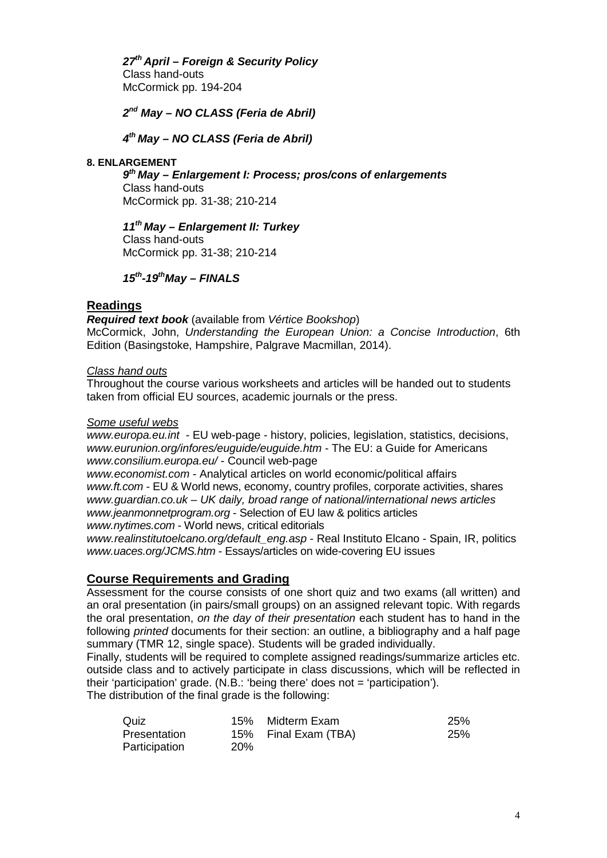*27th April – Foreign & Security Policy*  Class hand-outs McCormick pp. 194-204

*2nd May – NO CLASS (Feria de Abril)*

*4th May – NO CLASS (Feria de Abril)*

#### **8. ENLARGEMENT**

*9th May – Enlargement I: Process; pros/cons of enlargements* 

Class hand-outs McCormick pp. 31-38; 210-214

*11th May – Enlargement II: Turkey* Class hand-outs McCormick pp. 31-38; 210-214

*15th-19thMay – FINALS*

# **Readings**

*Required text book* (available from *Vértice Bookshop*) McCormick, John, *Understanding the European Union: a Concise Introduction*, 6th Edition (Basingstoke, Hampshire, Palgrave Macmillan, 2014).

# *Class hand outs*

Throughout the course various worksheets and articles will be handed out to students taken from official EU sources, academic journals or the press.

#### *Some useful webs*

*[www.europa.eu.int](http://www.europa.eu.int/)* - EU web-page - history, policies, legislation, statistics, decisions, *[www.eurunion.org/infores/euguide/euguide.htm](http://www.eurunion.org/infores/euguide/euguide.htm)* - The EU: a Guide for Americans *[www.consilium.europa.eu/](http://www.consilium.europa.eu/)* - Council web-page

*[www.economist.com](http://www.economist.com/)* - Analytical articles on world economic/political affairs *[www.ft.com](http://www.ft.com/)* - EU & World news, economy, country profiles, corporate activities, shares *[www.guardian.co.uk](http://www.guardian.co.uk/) – UK daily, broad range of national/international news articles [www.jeanmonnetprogram.org](http://www.jeanmonnetprogram.org/)* - Selection of EU law & politics articles *[www.nytimes.com](http://www.nytimes.com/)* - World news, critical editorials

*[www.realinstitutoelcano.org/default\\_eng.asp](http://www.realinstitutoelcano.org/default_eng.asp)* - Real Instituto Elcano - Spain, IR, politics *[www.uaces.org/JCMS.htm](http://www.uaces.org/JCMS.htm)* - Essays/articles on wide-covering EU issues

# **Course Requirements and Grading**

Assessment for the course consists of one short quiz and two exams (all written) and an oral presentation (in pairs/small groups) on an assigned relevant topic. With regards the oral presentation, *on the day of their presentation* each student has to hand in the following *printed* documents for their section: an outline, a bibliography and a half page summary (TMR 12, single space). Students will be graded individually.

Finally, students will be required to complete assigned readings/summarize articles etc. outside class and to actively participate in class discussions, which will be reflected in their 'participation' grade. (N.B.: 'being there' does not = 'participation').

The distribution of the final grade is the following:

| Quiz          |            | 15% Midterm Exam     | 25%        |
|---------------|------------|----------------------|------------|
| Presentation  |            | 15% Final Exam (TBA) | <b>25%</b> |
| Participation | <b>20%</b> |                      |            |